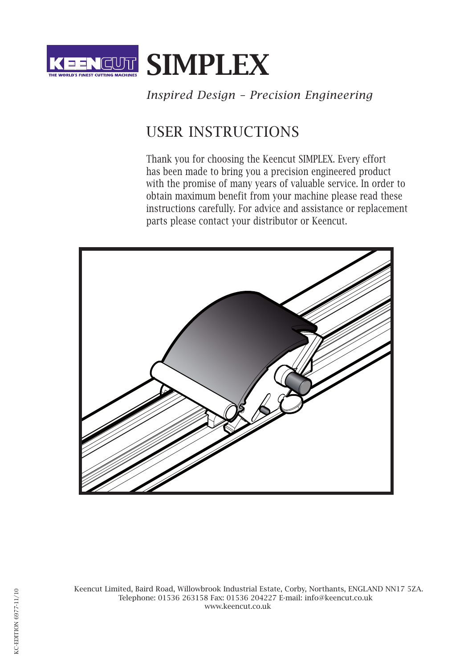

## *Inspired Design – Precision Engineering*

# USER INSTRUCTIONS

Thank you for choosing the Keencut SIMPLEX. Every effort has been made to bring you a precision engineered product with the promise of many years of valuable service. In order to obtain maximum benefit from your machine please read these instructions carefully. For advice and assistance or replacement parts please contact your distributor or Keencut.



Keencut Limited, Baird Road, Willowbrook Industrial Estate, Corby, Northants, ENGLAND NN17 5ZA. Telephone: 01536 263158 Fax: 01536 204227 E-mail: info@keencut.co.uk www.keencut.co.uk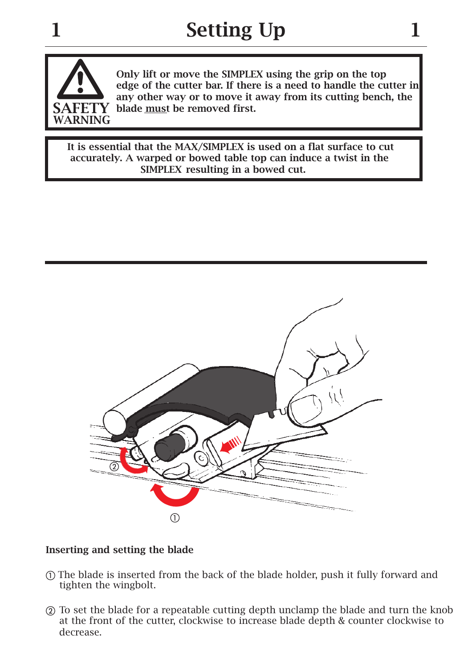

Only lift or move the SIMPLEX using the grip on the top edge of the cutter bar. If there is a need to handle the cutter in any other way or to move it away from its cutting bench, the  $ETY$  blade must be removed first.

 It is essential that the MAX/SIMPLEX is used on a flat surface to cut accurately. A warped or bowed table top can induce a twist in the SIMPLEX resulting in a bowed cut.



### Inserting and setting the blade

- The blade is inserted from the back of the blade holder, push it fully forward and tighten the wingbolt.
- To set the blade for a repeatable cutting depth unclamp the blade and turn the knob at the front of the cutter, clockwise to increase blade depth & counter clockwise to decrease.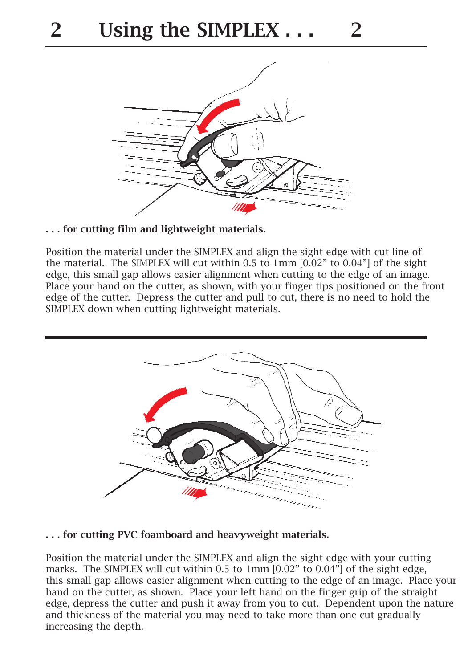

. . . for cutting film and lightweight materials.

Position the material under the SIMPLEX and align the sight edge with cut line of the material. The SIMPLEX will cut within 0.5 to 1mm [0.02" to 0.04"] of the sight edge, this small gap allows easier alignment when cutting to the edge of an image. Place your hand on the cutter, as shown, with your finger tips positioned on the front edge of the cutter. Depress the cutter and pull to cut, there is no need to hold the SIMPLEX down when cutting lightweight materials.



. . . for cutting PVC foamboard and heavyweight materials.

Position the material under the SIMPLEX and align the sight edge with your cutting marks. The SIMPLEX will cut within 0.5 to 1mm [0.02" to 0.04"] of the sight edge, this small gap allows easier alignment when cutting to the edge of an image. Place your hand on the cutter, as shown. Place your left hand on the finger grip of the straight edge, depress the cutter and push it away from you to cut. Dependent upon the nature and thickness of the material you may need to take more than one cut gradually increasing the depth.